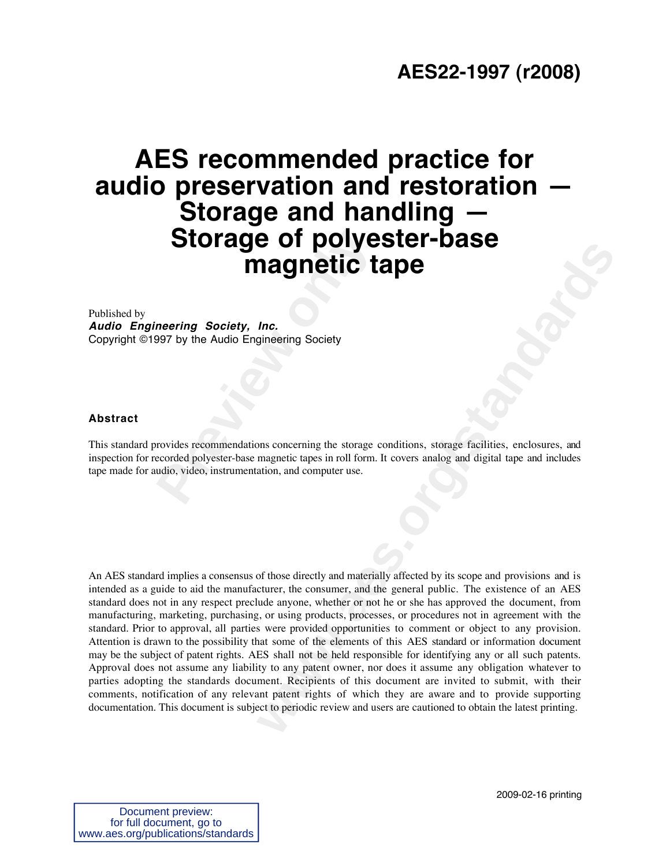## **AES22-1997 (r2008)**

# **Profilled Storage of polyemagnetic the magnetic transformation of the Audio Engineering Society<br>
Prevides recommendations concerning the storage cecorded polyester-base magnetic tapes in roll form.<br>
Undio, video, instrume AES recommended practice for audio preservation and restoration — Storage and handling — Storage of polyester-base magnetic tape**

Published by **Audio Engineering Society, Inc.** Copyright ©1997 by the Audio Engineering Society

#### **Abstract**

This standard provides recommendations concerning the storage conditions, storage facilities, enclosures, and inspection for recorded polyester-base magnetic tapes in roll form. It covers analog and digital tape and includes tape made for audio, video, instrumentation, and computer use.

**Example 10 COVIDE 100 COVIDE 100 COVIDE 100 COVIDE 100 COVIDE 100**<br> *Me,*<br> *Me,*<br> *me*,<br> *me*, and computer use, in roll form. It covers analog and digital tape and includes<br>
ation, and computer use.<br>
Of those directly An AES standard implies a consensus of those directly and materially affected by its scope and provisions and is intended as a guide to aid the manufacturer, the consumer, and the general public. The existence of an AES standard does not in any respect preclude anyone, whether or not he or she has approved the document, from manufacturing, marketing, purchasing, or using products, processes, or procedures not in agreement with the standard. Prior to approval, all parties were provided opportunities to comment or object to any provision. Attention is drawn to the possibility that some of the elements of this AES standard or information document may be the subject of patent rights. AES shall not be held responsible for identifying any or all such patents. Approval does not assume any liability to any patent owner, nor does it assume any obligation whatever to parties adopting the standards document. Recipients of this document are invited to submit, with their comments, notification of any relevant patent rights of which they are aware and to provide supporting documentation. This document is subject to periodic review and users are cautioned to obtain the latest printing.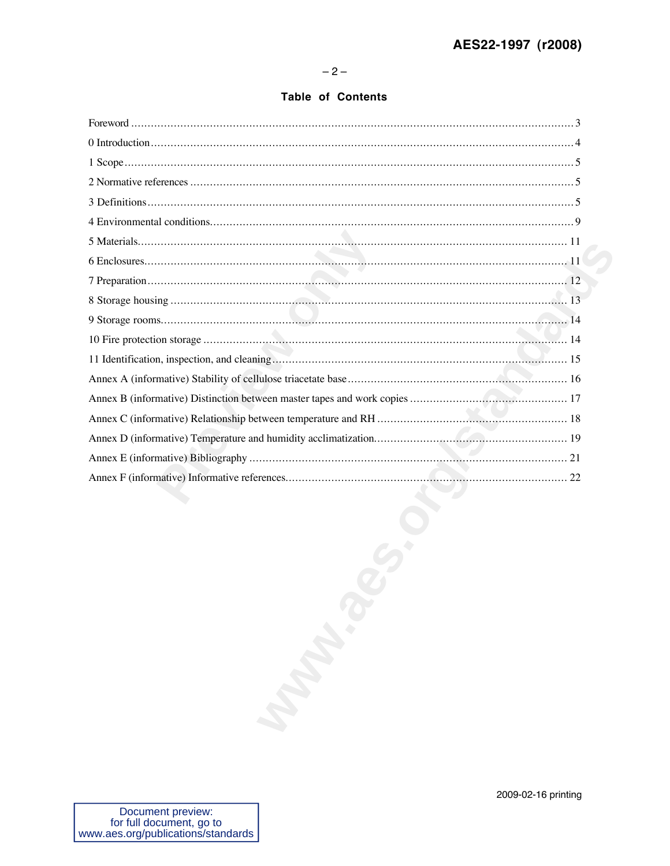$-2-$ 

#### **Table of Contents**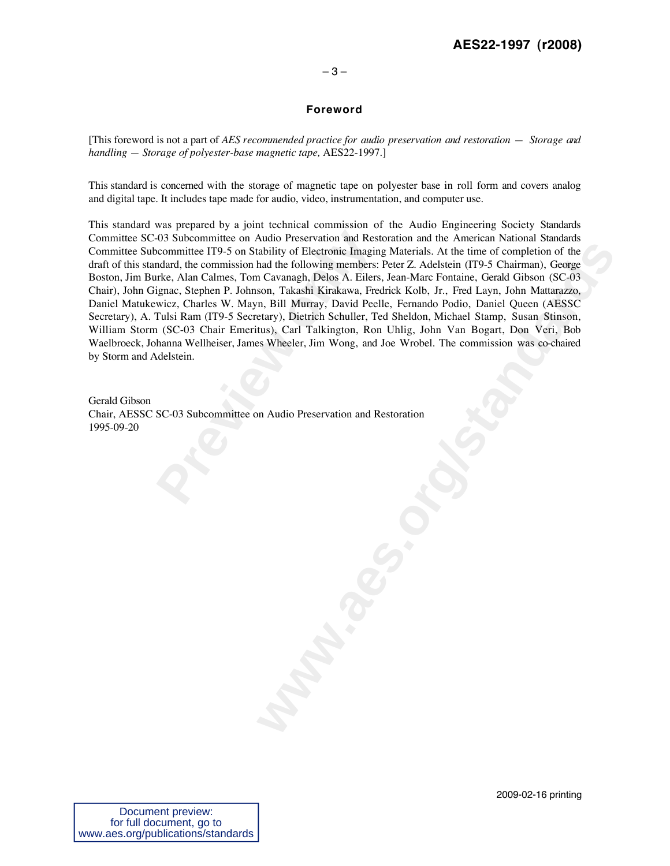#### **AES22-1997 (r2008)**

#### $-3-$

#### **Foreword**

[This foreword is not a part of *AES recommended practice for audio preservation and restoration — Storage and handling — Storage of polyester-base magnetic tape,* AES22-1997.]

This standard is concerned with the storage of magnetic tape on polyester base in roll form and covers analog and digital tape. It includes tape made for audio, video, instrumentation, and computer use.

-03 Subcommittee on Audio Preservation and Rest<br>committee IT9-5 on Stability of Electronic Imagin<br>mdard, the commission had the following members:<br>rke, Alan Calmes, Tom Cavanagh, Delos A. Eilers<br>ignac, Stephen P. Johnson, **which we define the magnity and the standard with the two standards** constrained in Collowing members: Peter Z. Adelskein (IT9 5 Chairman). George of Cavanagh, Dielos A. Filest, Jean-Marc Fontaine, Greatl Gibson (SC-03 so This standard was prepared by a joint technical commission of the Audio Engineering Society Standards Committee SC-03 Subcommittee on Audio Preservation and Restoration and the American National Standards Committee Subcommittee IT9-5 on Stability of Electronic Imaging Materials. At the time of completion of the draft of this standard, the commission had the following members: Peter Z. Adelstein (IT9-5 Chairman), George Boston, Jim Burke, Alan Calmes, Tom Cavanagh, Delos A. Eilers, Jean-Marc Fontaine, Gerald Gibson (SC-03 Chair), John Gignac, Stephen P. Johnson, Takashi Kirakawa, Fredrick Kolb, Jr., Fred Layn, John Mattarazzo, Daniel Matukewicz, Charles W. Mayn, Bill Murray, David Peelle, Fernando Podio, Daniel Queen (AESSC Secretary), A. Tulsi Ram (IT9-5 Secretary), Dietrich Schuller, Ted Sheldon, Michael Stamp, Susan Stinson, William Storm (SC-03 Chair Emeritus), Carl Talkington, Ron Uhlig, John Van Bogart, Don Veri, Bob Waelbroeck, Johanna Wellheiser, James Wheeler, Jim Wong, and Joe Wrobel. The commission was co-chaired by Storm and Adelstein.

Gerald Gibson Chair, AESSC SC-03 Subcommittee on Audio Preservation and Restoration 1995-09-20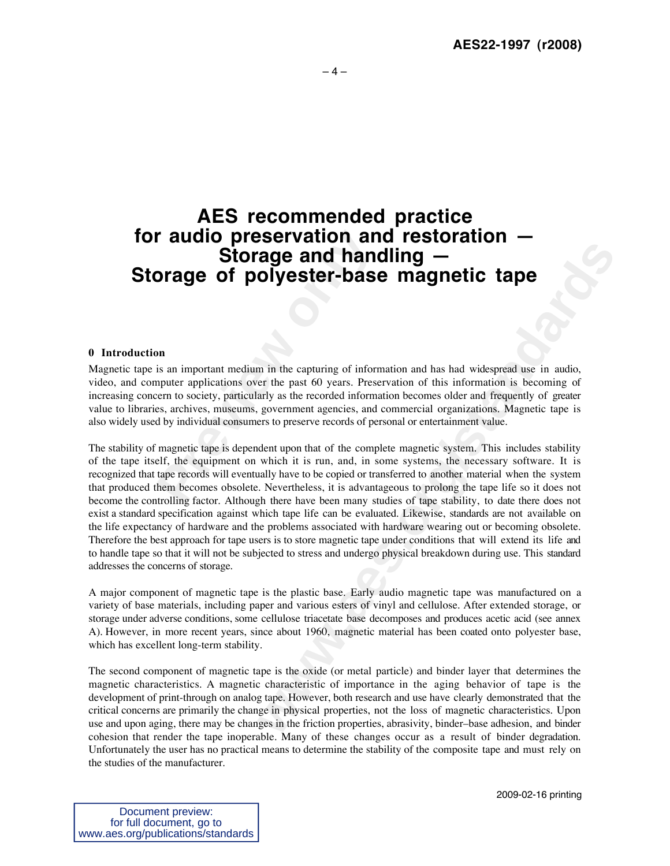### **AES recommended practice for audio preservation and restoration — Storage and handling — Storage of polyester-base magnetic tape**

#### **0 Introduction**

**Processingly and hand<br>
<b>Preview Storage and hand**<br> **Prage of polyester-base**<br> **Process and the Convergence of polyester-base**<br> **Process and the summangly as the recorded informations**<br> **Process**, and the magnetic tape is Magnetic tape is an important medium in the capturing of information and has had widespread use in audio, video, and computer applications over the past 60 years. Preservation of this information is becoming of increasing concern to society, particularly as the recorded information becomes older and frequently of greater value to libraries, archives, museums, government agencies, and commercial organizations. Magnetic tape is also widely used by individual consumers to preserve records of personal or entertainment value.

**www.aes.org/standards** The stability of magnetic tape is dependent upon that of the complete magnetic system. This includes stability of the tape itself, the equipment on which it is run, and, in some systems, the necessary software. It is recognized that tape records will eventually have to be copied or transferred to another material when the system that produced them becomes obsolete. Nevertheless, it is advantageous to prolong the tape life so it does not become the controlling factor. Although there have been many studies of tape stability, to date there does not exist a standard specification against which tape life can be evaluated. Likewise, standards are not available on the life expectancy of hardware and the problems associated with hardware wearing out or becoming obsolete. Therefore the best approach for tape users is to store magnetic tape under conditions that will extend its life and to handle tape so that it will not be subjected to stress and undergo physical breakdown during use. This standard addresses the concerns of storage.

A major component of magnetic tape is the plastic base. Early audio magnetic tape was manufactured on a variety of base materials, including paper and various esters of vinyl and cellulose. After extended storage, or storage under adverse conditions, some cellulose triacetate base decomposes and produces acetic acid (see annex A). However, in more recent years, since about 1960, magnetic material has been coated onto polyester base, which has excellent long-term stability.

The second component of magnetic tape is the oxide (or metal particle) and binder layer that determines the magnetic characteristics. A magnetic characteristic of importance in the aging behavior of tape is the development of print-through on analog tape. However, both research and use have clearly demonstrated that the critical concerns are primarily the change in physical properties, not the loss of magnetic characteristics. Upon use and upon aging, there may be changes in the friction properties, abrasivity, binder–base adhesion, and binder cohesion that render the tape inoperable. Many of these changes occur as a result of binder degradation. Unfortunately the user has no practical means to determine the stability of the composite tape and must rely on the studies of the manufacturer.